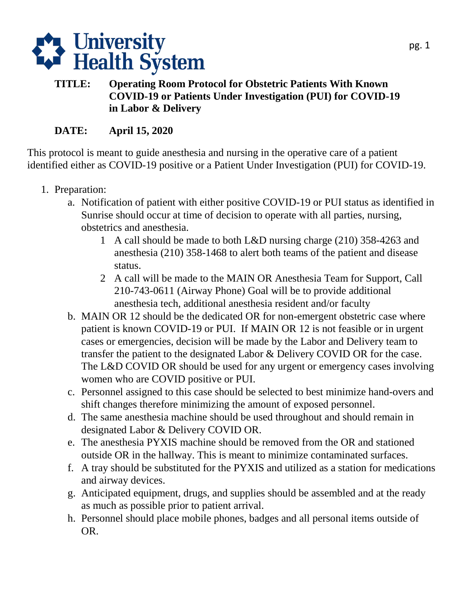

## **TITLE: Operating Room Protocol for Obstetric Patients With Known COVID-19 or Patients Under Investigation (PUI) for COVID-19 in Labor & Delivery**

## **DATE: April 15, 2020**

 identified either as COVID-19 positive or a Patient Under Investigation (PUI) for COVID-19. This protocol is meant to guide anesthesia and nursing in the operative care of a patient

- 1. Preparation:
	- a. Notification of patient with either positive COVID-19 or PUI status as identified in Sunrise should occur at time of decision to operate with all parties, nursing, obstetrics and anesthesia.
		- 1 A call should be made to both L&D nursing charge (210) 358-4263 and anesthesia (210) 358-1468 to alert both teams of the patient and disease status.
		- 2 A call will be made to the MAIN OR Anesthesia Team for Support, Call 210-743-0611 (Airway Phone) Goal will be to provide additional anesthesia tech, additional anesthesia resident and/or faculty
	- b. MAIN OR 12 should be the dedicated OR for non-emergent obstetric case where patient is known COVID-19 or PUI. If MAIN OR 12 is not feasible or in urgent cases or emergencies, decision will be made by the Labor and Delivery team to transfer the patient to the designated Labor & Delivery COVID OR for the case. The L&D COVID OR should be used for any urgent or emergency cases involving women who are COVID positive or PUI.
	- c. Personnel assigned to this case should be selected to best minimize hand-overs and shift changes therefore minimizing the amount of exposed personnel.
	- d. The same anesthesia machine should be used throughout and should remain in designated Labor & Delivery COVID OR.
	- e. The anesthesia PYXIS machine should be removed from the OR and stationed outside OR in the hallway. This is meant to minimize contaminated surfaces.
	- f. A tray should be substituted for the PYXIS and utilized as a station for medications and airway devices.
	- g. Anticipated equipment, drugs, and supplies should be assembled and at the ready as much as possible prior to patient arrival.
	- h. Personnel should place mobile phones, badges and all personal items outside of OR.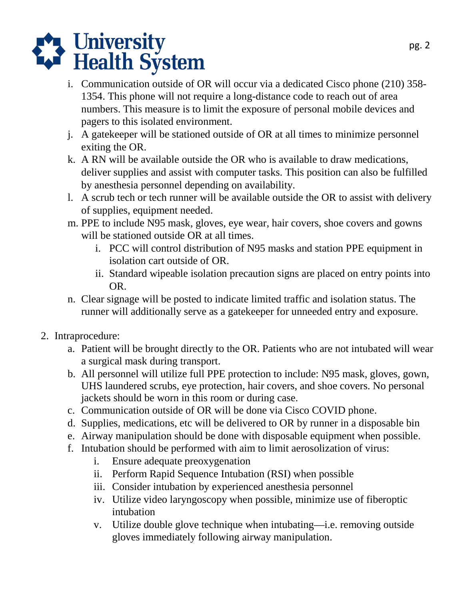

- 1354. This phone will not require a long-distance code to reach out of area i. Communication outside of OR will occur via a dedicated Cisco phone (210) 358 numbers. This measure is to limit the exposure of personal mobile devices and pagers to this isolated environment.
- j. A gatekeeper will be stationed outside of OR at all times to minimize personnel exiting the OR.
- k. A RN will be available outside the OR who is available to draw medications, deliver supplies and assist with computer tasks. This position can also be fulfilled by anesthesia personnel depending on availability.
- l. A scrub tech or tech runner will be available outside the OR to assist with delivery of supplies, equipment needed.
- m. PPE to include N95 mask, gloves, eye wear, hair covers, shoe covers and gowns will be stationed outside OR at all times.
	- i. PCC will control distribution of N95 masks and station PPE equipment in isolation cart outside of OR.
	- ii. Standard wipeable isolation precaution signs are placed on entry points into OR.
- n. Clear signage will be posted to indicate limited traffic and isolation status. The runner will additionally serve as a gatekeeper for unneeded entry and exposure.
- 2. Intraprocedure:
	- a. Patient will be brought directly to the OR. Patients who are not intubated will wear a surgical mask during transport.
	- b. All personnel will utilize full PPE protection to include: N95 mask, gloves, gown, UHS laundered scrubs, eye protection, hair covers, and shoe covers. No personal jackets should be worn in this room or during case.
	- c. Communication outside of OR will be done via Cisco COVID phone.
	- d. Supplies, medications, etc will be delivered to OR by runner in a disposable bin
	- e. Airway manipulation should be done with disposable equipment when possible.
	- f. Intubation should be performed with aim to limit aerosolization of virus:
		- i. Ensure adequate preoxygenation
		- ii. Perform Rapid Sequence Intubation (RSI) when possible
		- iii. Consider intubation by experienced anesthesia personnel
		- iv. Utilize video laryngoscopy when possible, minimize use of fiberoptic intubation
		- v. Utilize double glove technique when intubating—i.e. removing outside gloves immediately following airway manipulation.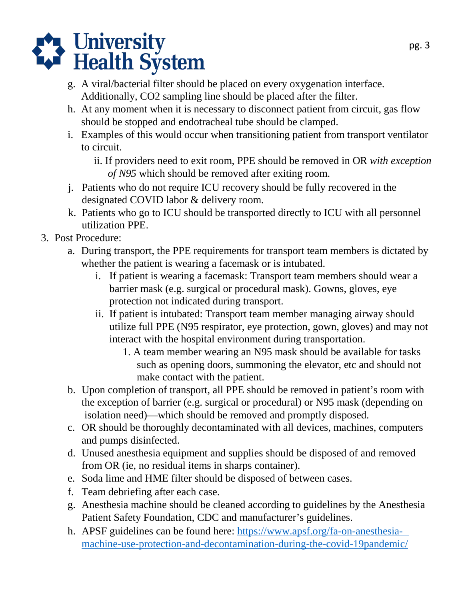



- g. A viral/bacterial filter should be placed on every oxygenation interface. Additionally, CO2 sampling line should be placed after the filter.
- h. At any moment when it is necessary to disconnect patient from circuit, gas flow should be stopped and endotracheal tube should be clamped.
- i. Examples of this would occur when transitioning patient from transport ventilator to circuit.
	- ii. If providers need to exit room, PPE should be removed in OR *with exception of N95* which should be removed after exiting room.
- j. Patients who do not require ICU recovery should be fully recovered in the designated COVID labor & delivery room.
- k. Patients who go to ICU should be transported directly to ICU with all personnel utilization PPE.
- 3. Post Procedure:
	- a. During transport, the PPE requirements for transport team members is dictated by whether the patient is wearing a facemask or is intubated.
		- i. If patient is wearing a facemask: Transport team members should wear a barrier mask (e.g. surgical or procedural mask). Gowns, gloves, eye protection not indicated during transport.
		- ii. If patient is intubated: Transport team member managing airway should utilize full PPE (N95 respirator, eye protection, gown, gloves) and may not interact with the hospital environment during transportation.
			- 1. A team member wearing an N95 mask should be available for tasks such as opening doors, summoning the elevator, etc and should not make contact with the patient.
	- the exception of barrier (e.g. surgical or procedural) or N95 mask (depending on isolation need)—which should be removed and promptly disposed. b. Upon completion of transport, all PPE should be removed in patient's room with
	- c. OR should be thoroughly decontaminated with all devices, machines, computers and pumps disinfected.
	- d. Unused anesthesia equipment and supplies should be disposed of and removed from OR (ie, no residual items in sharps container).
	- e. Soda lime and HME filter should be disposed of between cases.
	- f. Team debriefing after each case.
	- g. Anesthesia machine should be cleaned according to guidelines by the Anesthesia Patient Safety Foundation, CDC and manufacturer's guidelines.
	- h. APSF guidelines can be found here:<https://www.apsf.org/fa-on-anesthesia>machine-use-protection-and-decon[tamination-during-the-covid-19pandemic/](https://www.apsf.org/fa-on-anesthesia-machine-use-protection-and-decontamination-during-the-covid-19-pandemic/)